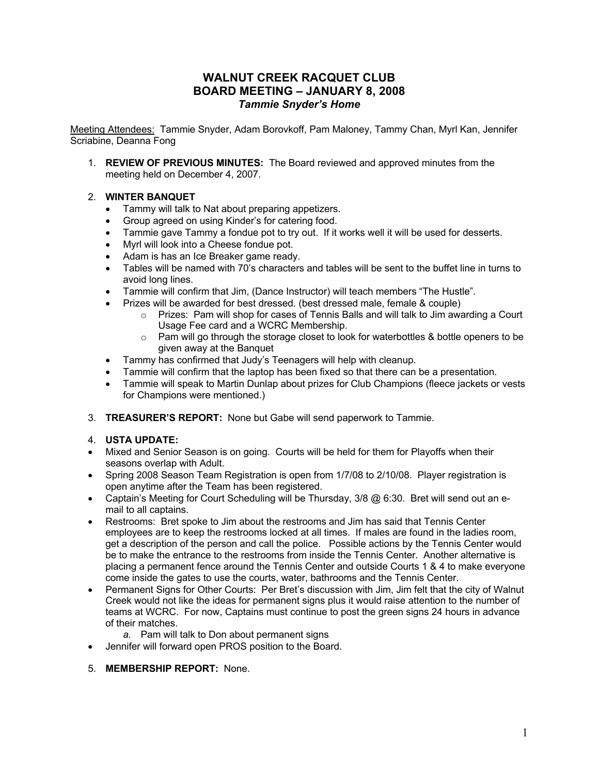# **WALNUT CREEK RACQUET CLUB BOARD MEETING – JANUARY 8, 2008** *Tammie Snyder's Home*

Meeting Attendees: Tammie Snyder, Adam Borovkoff, Pam Maloney, Tammy Chan, Myrl Kan, Jennifer Scriabine, Deanna Fong

1. **REVIEW OF PREVIOUS MINUTES:**The Board reviewed and approved minutes from the meeting held on December 4, 2007.

## 2. **WINTER BANQUET**

- Tammy will talk to Nat about preparing appetizers.
- Group agreed on using Kinder's for catering food.
- Tammie gave Tammy a fondue pot to try out. If it works well it will be used for desserts.
- Myrl will look into a Cheese fondue pot.
- Adam is has an Ice Breaker game ready.
- Tables will be named with 70's characters and tables will be sent to the buffet line in turns to avoid long lines.
- Tammie will confirm that Jim, (Dance Instructor) will teach members "The Hustle".
- Prizes will be awarded for best dressed. (best dressed male, female & couple)
	- $\circ$  Prizes: Pam will shop for cases of Tennis Balls and will talk to Jim awarding a Court Usage Fee card and a WCRC Membership.
	- $\circ$  Pam will go through the storage closet to look for waterbottles & bottle openers to be given away at the Banquet
- Tammy has confirmed that Judy's Teenagers will help with cleanup.
- Tammie will confirm that the laptop has been fixed so that there can be a presentation.
- Tammie will speak to Martin Dunlap about prizes for Club Champions (fleece jackets or vests for Champions were mentioned.)
- 3. **TREASURER'S REPORT:** None but Gabe will send paperwork to Tammie.

### 4. **USTA UPDATE:**

- Mixed and Senior Season is on going. Courts will be held for them for Playoffs when their seasons overlap with Adult.
- Spring 2008 Season Team Registration is open from 1/7/08 to 2/10/08. Player registration is open anytime after the Team has been registered.
- Captain's Meeting for Court Scheduling will be Thursday,  $3/8$   $@$  6:30. Bret will send out an email to all captains.
- Restrooms: Bret spoke to Jim about the restrooms and Jim has said that Tennis Center employees are to keep the restrooms locked at all times. If males are found in the ladies room, get a description of the person and call the police. Possible actions by the Tennis Center would be to make the entrance to the restrooms from inside the Tennis Center. Another alternative is placing a permanent fence around the Tennis Center and outside Courts 1 & 4 to make everyone come inside the gates to use the courts, water, bathrooms and the Tennis Center.
- Permanent Signs for Other Courts: Per Bret's discussion with Jim, Jim felt that the city of Walnut Creek would not like the ideas for permanent signs plus it would raise attention to the number of teams at WCRC. For now, Captains must continue to post the green signs 24 hours in advance of their matches.
	- *a.* Pam will talk to Don about permanent signs
- Jennifer will forward open PROS position to the Board.

### 5. **MEMBERSHIP REPORT:** None.